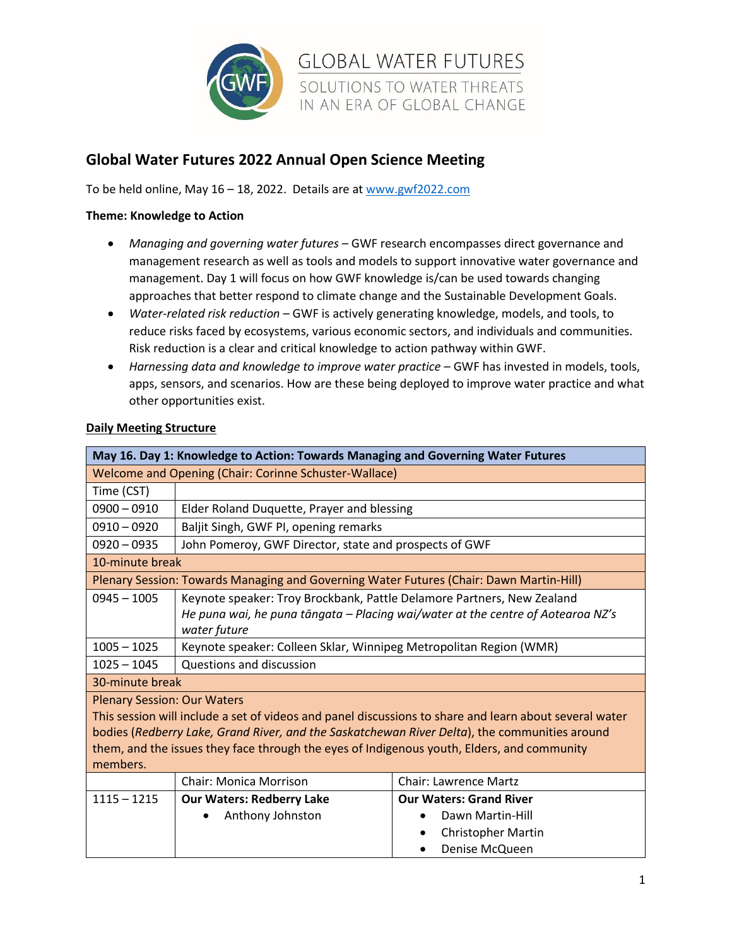

## **Global Water Futures 2022 Annual Open Science Meeting**

To be held online, May 16 – 18, 2022. Details are at [www.gwf2022.com](http://www.gwf2022.com/)

## **Theme: Knowledge to Action**

• *Managing and governing water futures* – GWF research encompasses direct governance and management research as well as tools and models to support innovative water governance and management. Day 1 will focus on how GWF knowledge is/can be used towards changing approaches that better respond to climate change and the Sustainable Development Goals.

**GLOBAL WATER FUTURES** 

SOLUTIONS TO WATER THREATS IN AN ERA OF GLOBAL CHANGE

- *Water-related risk reduction* GWF is actively generating knowledge, models, and tools, to reduce risks faced by ecosystems, various economic sectors, and individuals and communities. Risk reduction is a clear and critical knowledge to action pathway within GWF.
- *Harnessing data and knowledge to improve water practice* GWF has invested in models, tools, apps, sensors, and scenarios. How are these being deployed to improve water practice and what other opportunities exist.

|                                                                                                        | May 16. Day 1: Knowledge to Action: Towards Managing and Governing Water Futures        |                                                                                 |  |  |
|--------------------------------------------------------------------------------------------------------|-----------------------------------------------------------------------------------------|---------------------------------------------------------------------------------|--|--|
| Welcome and Opening (Chair: Corinne Schuster-Wallace)                                                  |                                                                                         |                                                                                 |  |  |
| Time (CST)                                                                                             |                                                                                         |                                                                                 |  |  |
| $0900 - 0910$                                                                                          | Elder Roland Duquette, Prayer and blessing                                              |                                                                                 |  |  |
| $0910 - 0920$                                                                                          | Baljit Singh, GWF PI, opening remarks                                                   |                                                                                 |  |  |
| $0920 - 0935$                                                                                          | John Pomeroy, GWF Director, state and prospects of GWF                                  |                                                                                 |  |  |
| 10-minute break                                                                                        |                                                                                         |                                                                                 |  |  |
|                                                                                                        | Plenary Session: Towards Managing and Governing Water Futures (Chair: Dawn Martin-Hill) |                                                                                 |  |  |
| $0945 - 1005$                                                                                          | Keynote speaker: Troy Brockbank, Pattle Delamore Partners, New Zealand                  |                                                                                 |  |  |
|                                                                                                        |                                                                                         | He puna wai, he puna tāngata - Placing wai/water at the centre of Aotearoa NZ's |  |  |
|                                                                                                        | water future                                                                            |                                                                                 |  |  |
| $1005 - 1025$                                                                                          | Keynote speaker: Colleen Sklar, Winnipeg Metropolitan Region (WMR)                      |                                                                                 |  |  |
| $1025 - 1045$                                                                                          | Questions and discussion                                                                |                                                                                 |  |  |
| 30-minute break                                                                                        |                                                                                         |                                                                                 |  |  |
| <b>Plenary Session: Our Waters</b>                                                                     |                                                                                         |                                                                                 |  |  |
| This session will include a set of videos and panel discussions to share and learn about several water |                                                                                         |                                                                                 |  |  |
| bodies (Redberry Lake, Grand River, and the Saskatchewan River Delta), the communities around          |                                                                                         |                                                                                 |  |  |
| them, and the issues they face through the eyes of Indigenous youth, Elders, and community             |                                                                                         |                                                                                 |  |  |
| members.                                                                                               |                                                                                         |                                                                                 |  |  |
|                                                                                                        | <b>Chair: Monica Morrison</b>                                                           | <b>Chair: Lawrence Martz</b>                                                    |  |  |
| $1115 - 1215$                                                                                          | <b>Our Waters: Redberry Lake</b>                                                        | <b>Our Waters: Grand River</b>                                                  |  |  |
|                                                                                                        | Anthony Johnston                                                                        | Dawn Martin-Hill                                                                |  |  |
|                                                                                                        |                                                                                         | <b>Christopher Martin</b><br>٠                                                  |  |  |
|                                                                                                        |                                                                                         | Denise McQueen                                                                  |  |  |

## **Daily Meeting Structure**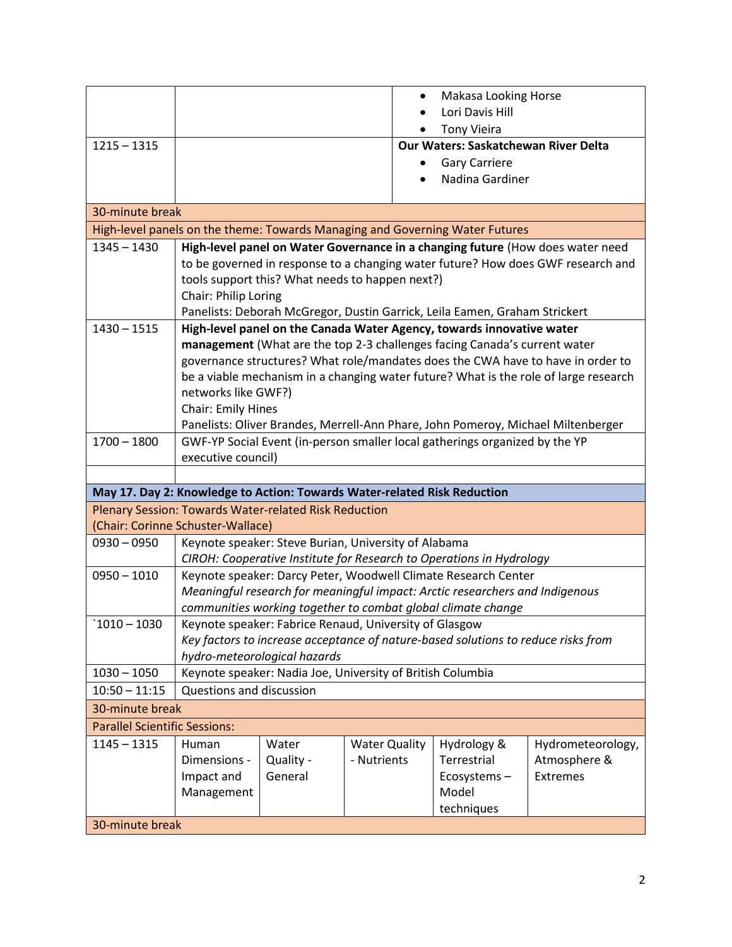|                                      |                                                                                |           |                                                                          | Makasa Looking Horse                                                              |                                                                                      |
|--------------------------------------|--------------------------------------------------------------------------------|-----------|--------------------------------------------------------------------------|-----------------------------------------------------------------------------------|--------------------------------------------------------------------------------------|
|                                      |                                                                                |           |                                                                          | Lori Davis Hill                                                                   |                                                                                      |
|                                      |                                                                                |           |                                                                          | <b>Tony Vieira</b>                                                                |                                                                                      |
| $1215 - 1315$                        |                                                                                |           |                                                                          | <b>Our Waters: Saskatchewan River Delta</b>                                       |                                                                                      |
|                                      |                                                                                |           |                                                                          | <b>Gary Carriere</b>                                                              |                                                                                      |
|                                      |                                                                                |           |                                                                          | Nadina Gardiner                                                                   |                                                                                      |
|                                      |                                                                                |           |                                                                          |                                                                                   |                                                                                      |
|                                      | 30-minute break                                                                |           |                                                                          |                                                                                   |                                                                                      |
|                                      |                                                                                |           |                                                                          | High-level panels on the theme: Towards Managing and Governing Water Futures      |                                                                                      |
| $1345 - 1430$                        | High-level panel on Water Governance in a changing future (How does water need |           |                                                                          |                                                                                   |                                                                                      |
|                                      |                                                                                |           |                                                                          |                                                                                   | to be governed in response to a changing water future? How does GWF research and     |
|                                      |                                                                                |           | tools support this? What needs to happen next?)                          |                                                                                   |                                                                                      |
|                                      | Chair: Philip Loring                                                           |           |                                                                          |                                                                                   |                                                                                      |
|                                      |                                                                                |           |                                                                          | Panelists: Deborah McGregor, Dustin Garrick, Leila Eamen, Graham Strickert        |                                                                                      |
| $1430 - 1515$                        |                                                                                |           |                                                                          | High-level panel on the Canada Water Agency, towards innovative water             |                                                                                      |
|                                      |                                                                                |           |                                                                          | management (What are the top 2-3 challenges facing Canada's current water         |                                                                                      |
|                                      |                                                                                |           |                                                                          |                                                                                   | governance structures? What role/mandates does the CWA have to have in order to      |
|                                      |                                                                                |           |                                                                          |                                                                                   | be a viable mechanism in a changing water future? What is the role of large research |
|                                      | networks like GWF?)<br>Chair: Emily Hines                                      |           |                                                                          |                                                                                   |                                                                                      |
|                                      |                                                                                |           |                                                                          |                                                                                   | Panelists: Oliver Brandes, Merrell-Ann Phare, John Pomeroy, Michael Miltenberger     |
| $1700 - 1800$                        |                                                                                |           |                                                                          | GWF-YP Social Event (in-person smaller local gatherings organized by the YP       |                                                                                      |
|                                      | executive council)                                                             |           |                                                                          |                                                                                   |                                                                                      |
|                                      |                                                                                |           |                                                                          |                                                                                   |                                                                                      |
|                                      |                                                                                |           | May 17. Day 2: Knowledge to Action: Towards Water-related Risk Reduction |                                                                                   |                                                                                      |
|                                      | Plenary Session: Towards Water-related Risk Reduction                          |           |                                                                          |                                                                                   |                                                                                      |
|                                      | (Chair: Corinne Schuster-Wallace)                                              |           |                                                                          |                                                                                   |                                                                                      |
| $0930 - 0950$                        |                                                                                |           | Keynote speaker: Steve Burian, University of Alabama                     |                                                                                   |                                                                                      |
|                                      | CIROH: Cooperative Institute for Research to Operations in Hydrology           |           |                                                                          |                                                                                   |                                                                                      |
| $0950 - 1010$                        | Keynote speaker: Darcy Peter, Woodwell Climate Research Center                 |           |                                                                          |                                                                                   |                                                                                      |
|                                      |                                                                                |           |                                                                          | Meaningful research for meaningful impact: Arctic researchers and Indigenous      |                                                                                      |
|                                      | communities working together to combat global climate change                   |           |                                                                          |                                                                                   |                                                                                      |
| $1010 - 1030$                        | Keynote speaker: Fabrice Renaud, University of Glasgow                         |           |                                                                          |                                                                                   |                                                                                      |
|                                      |                                                                                |           |                                                                          | Key factors to increase acceptance of nature-based solutions to reduce risks from |                                                                                      |
|                                      | hydro-meteorological hazards                                                   |           |                                                                          |                                                                                   |                                                                                      |
| $1030 - 1050$                        | Keynote speaker: Nadia Joe, University of British Columbia                     |           |                                                                          |                                                                                   |                                                                                      |
| $10:50 - 11:15$                      | Questions and discussion                                                       |           |                                                                          |                                                                                   |                                                                                      |
| 30-minute break                      |                                                                                |           |                                                                          |                                                                                   |                                                                                      |
| <b>Parallel Scientific Sessions:</b> |                                                                                |           |                                                                          |                                                                                   |                                                                                      |
| $1145 - 1315$                        | Human                                                                          | Water     | <b>Water Quality</b>                                                     | Hydrology &                                                                       | Hydrometeorology,                                                                    |
|                                      | Dimensions -                                                                   | Quality - | - Nutrients                                                              | Terrestrial                                                                       | Atmosphere &                                                                         |
|                                      | Impact and                                                                     | General   |                                                                          | Ecosystems-                                                                       | Extremes                                                                             |
|                                      | Management                                                                     |           |                                                                          | Model                                                                             |                                                                                      |
|                                      |                                                                                |           |                                                                          | techniques                                                                        |                                                                                      |
| 30-minute break                      |                                                                                |           |                                                                          |                                                                                   |                                                                                      |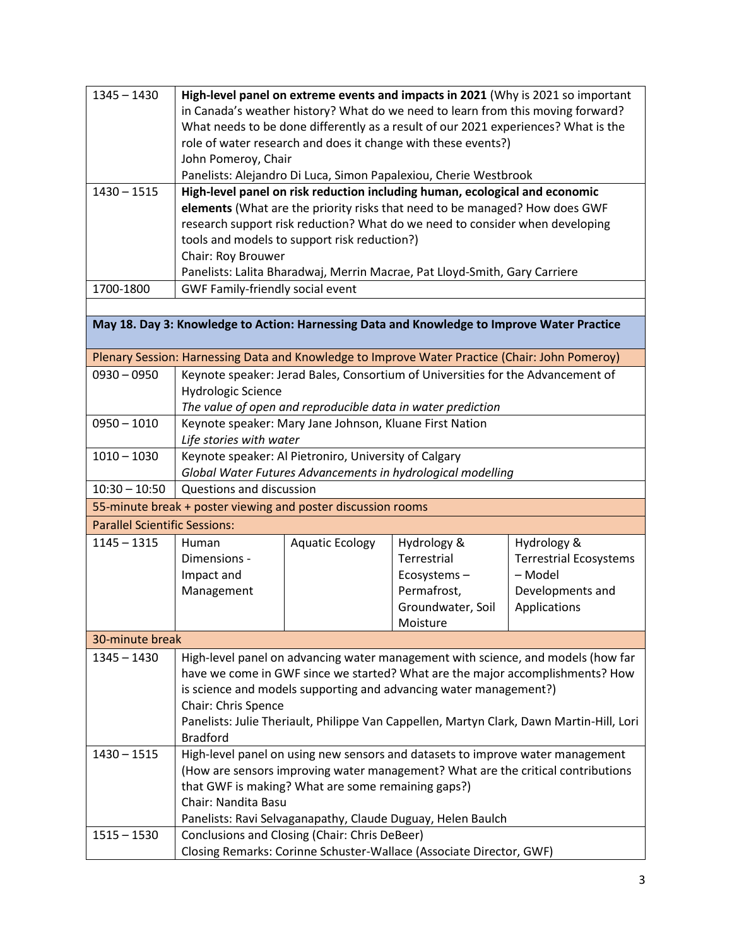| $1345 - 1430$                                                |                                                                                                                                                 |                                                                            |                                                                                                | High-level panel on extreme events and impacts in 2021 (Why is 2021 so important         |
|--------------------------------------------------------------|-------------------------------------------------------------------------------------------------------------------------------------------------|----------------------------------------------------------------------------|------------------------------------------------------------------------------------------------|------------------------------------------------------------------------------------------|
|                                                              |                                                                                                                                                 |                                                                            |                                                                                                | in Canada's weather history? What do we need to learn from this moving forward?          |
|                                                              | What needs to be done differently as a result of our 2021 experiences? What is the                                                              |                                                                            |                                                                                                |                                                                                          |
|                                                              |                                                                                                                                                 |                                                                            | role of water research and does it change with these events?)                                  |                                                                                          |
|                                                              | John Pomeroy, Chair                                                                                                                             |                                                                            |                                                                                                |                                                                                          |
|                                                              |                                                                                                                                                 |                                                                            |                                                                                                |                                                                                          |
| $1430 - 1515$                                                | Panelists: Alejandro Di Luca, Simon Papalexiou, Cherie Westbrook<br>High-level panel on risk reduction including human, ecological and economic |                                                                            |                                                                                                |                                                                                          |
|                                                              |                                                                                                                                                 |                                                                            | elements (What are the priority risks that need to be managed? How does GWF                    |                                                                                          |
|                                                              |                                                                                                                                                 |                                                                            | research support risk reduction? What do we need to consider when developing                   |                                                                                          |
|                                                              |                                                                                                                                                 |                                                                            |                                                                                                |                                                                                          |
|                                                              |                                                                                                                                                 | tools and models to support risk reduction?)                               |                                                                                                |                                                                                          |
|                                                              | Chair: Roy Brouwer                                                                                                                              |                                                                            |                                                                                                |                                                                                          |
|                                                              |                                                                                                                                                 | Panelists: Lalita Bharadwaj, Merrin Macrae, Pat Lloyd-Smith, Gary Carriere |                                                                                                |                                                                                          |
| 1700-1800                                                    | GWF Family-friendly social event                                                                                                                |                                                                            |                                                                                                |                                                                                          |
|                                                              |                                                                                                                                                 |                                                                            |                                                                                                |                                                                                          |
|                                                              |                                                                                                                                                 |                                                                            | May 18. Day 3: Knowledge to Action: Harnessing Data and Knowledge to Improve Water Practice    |                                                                                          |
|                                                              |                                                                                                                                                 |                                                                            | Plenary Session: Harnessing Data and Knowledge to Improve Water Practice (Chair: John Pomeroy) |                                                                                          |
| $0930 - 0950$                                                |                                                                                                                                                 |                                                                            | Keynote speaker: Jerad Bales, Consortium of Universities for the Advancement of                |                                                                                          |
|                                                              | <b>Hydrologic Science</b>                                                                                                                       |                                                                            |                                                                                                |                                                                                          |
|                                                              |                                                                                                                                                 |                                                                            |                                                                                                |                                                                                          |
| $0950 - 1010$                                                | The value of open and reproducible data in water prediction<br>Keynote speaker: Mary Jane Johnson, Kluane First Nation                          |                                                                            |                                                                                                |                                                                                          |
|                                                              |                                                                                                                                                 |                                                                            |                                                                                                |                                                                                          |
|                                                              | Life stories with water                                                                                                                         |                                                                            |                                                                                                |                                                                                          |
| $1010 - 1030$                                                |                                                                                                                                                 | Keynote speaker: Al Pietroniro, University of Calgary                      |                                                                                                |                                                                                          |
|                                                              | Global Water Futures Advancements in hydrological modelling                                                                                     |                                                                            |                                                                                                |                                                                                          |
| $10:30 - 10:50$                                              | Questions and discussion                                                                                                                        |                                                                            |                                                                                                |                                                                                          |
| 55-minute break + poster viewing and poster discussion rooms |                                                                                                                                                 |                                                                            |                                                                                                |                                                                                          |
| <b>Parallel Scientific Sessions:</b>                         |                                                                                                                                                 |                                                                            |                                                                                                |                                                                                          |
| $1145 - 1315$                                                | Human                                                                                                                                           | <b>Aquatic Ecology</b>                                                     | Hydrology &                                                                                    | Hydrology &                                                                              |
|                                                              | Dimensions -                                                                                                                                    |                                                                            | Terrestrial                                                                                    | <b>Terrestrial Ecosystems</b>                                                            |
|                                                              | Impact and                                                                                                                                      |                                                                            | Ecosystems-                                                                                    | - Model                                                                                  |
|                                                              | Management                                                                                                                                      |                                                                            | Permafrost,                                                                                    | Developments and                                                                         |
|                                                              |                                                                                                                                                 |                                                                            | Groundwater, Soil                                                                              | Applications                                                                             |
|                                                              |                                                                                                                                                 |                                                                            | Moisture                                                                                       |                                                                                          |
| 30-minute break                                              |                                                                                                                                                 |                                                                            |                                                                                                |                                                                                          |
| $1345 - 1430$                                                |                                                                                                                                                 |                                                                            |                                                                                                | High-level panel on advancing water management with science, and models (how far         |
|                                                              |                                                                                                                                                 |                                                                            |                                                                                                | have we come in GWF since we started? What are the major accomplishments? How            |
|                                                              |                                                                                                                                                 |                                                                            |                                                                                                |                                                                                          |
|                                                              |                                                                                                                                                 |                                                                            | is science and models supporting and advancing water management?)                              |                                                                                          |
|                                                              | Chair: Chris Spence                                                                                                                             |                                                                            |                                                                                                |                                                                                          |
|                                                              |                                                                                                                                                 |                                                                            |                                                                                                | Panelists: Julie Theriault, Philippe Van Cappellen, Martyn Clark, Dawn Martin-Hill, Lori |
|                                                              | <b>Bradford</b>                                                                                                                                 |                                                                            |                                                                                                |                                                                                          |
| $1430 - 1515$                                                |                                                                                                                                                 |                                                                            |                                                                                                | High-level panel on using new sensors and datasets to improve water management           |
|                                                              |                                                                                                                                                 |                                                                            |                                                                                                | (How are sensors improving water management? What are the critical contributions         |
|                                                              |                                                                                                                                                 | that GWF is making? What are some remaining gaps?)                         |                                                                                                |                                                                                          |
|                                                              | Chair: Nandita Basu                                                                                                                             |                                                                            |                                                                                                |                                                                                          |
|                                                              |                                                                                                                                                 |                                                                            | Panelists: Ravi Selvaganapathy, Claude Duguay, Helen Baulch                                    |                                                                                          |
| $1515 - 1530$                                                |                                                                                                                                                 | Conclusions and Closing (Chair: Chris DeBeer)                              |                                                                                                |                                                                                          |
|                                                              |                                                                                                                                                 |                                                                            | Closing Remarks: Corinne Schuster-Wallace (Associate Director, GWF)                            |                                                                                          |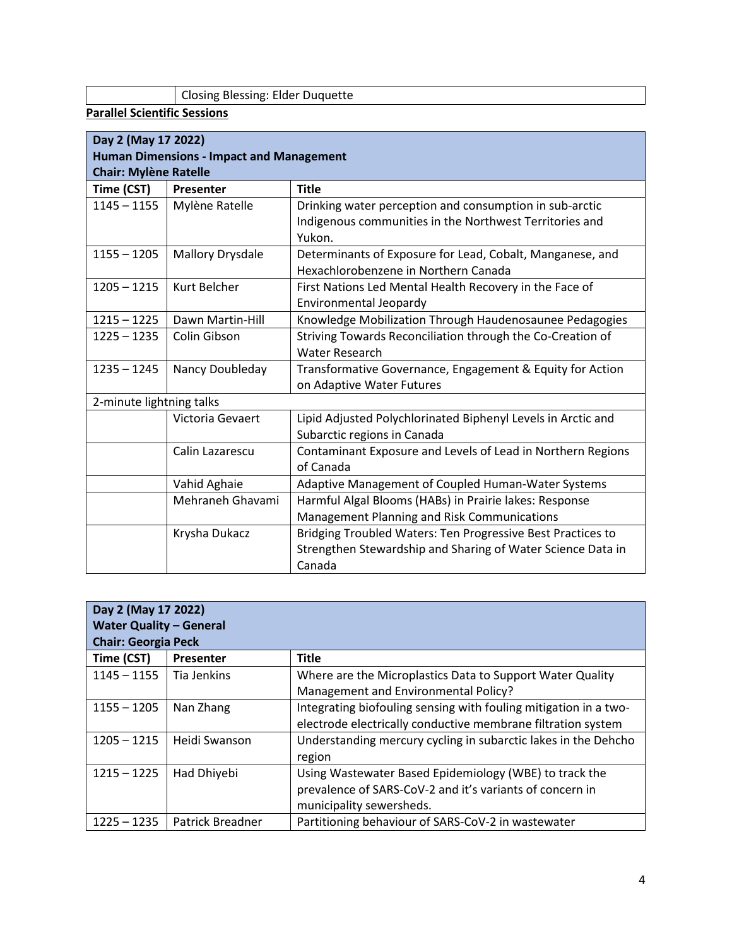Closing Blessing: Elder Duquette

**Parallel Scientific Sessions**

|                                                 | Day 2 (May 17 2022)     |                                                              |  |  |
|-------------------------------------------------|-------------------------|--------------------------------------------------------------|--|--|
| <b>Human Dimensions - Impact and Management</b> |                         |                                                              |  |  |
| <b>Chair: Mylène Ratelle</b>                    |                         |                                                              |  |  |
| Time (CST)                                      | Presenter               | <b>Title</b>                                                 |  |  |
| $1145 - 1155$                                   | Mylène Ratelle          | Drinking water perception and consumption in sub-arctic      |  |  |
|                                                 |                         | Indigenous communities in the Northwest Territories and      |  |  |
|                                                 |                         | Yukon.                                                       |  |  |
| $1155 - 1205$                                   | <b>Mallory Drysdale</b> | Determinants of Exposure for Lead, Cobalt, Manganese, and    |  |  |
|                                                 |                         | Hexachlorobenzene in Northern Canada                         |  |  |
| $1205 - 1215$                                   | Kurt Belcher            | First Nations Led Mental Health Recovery in the Face of      |  |  |
|                                                 |                         | Environmental Jeopardy                                       |  |  |
| $1215 - 1225$                                   | Dawn Martin-Hill        | Knowledge Mobilization Through Haudenosaunee Pedagogies      |  |  |
| $1225 - 1235$                                   | Colin Gibson            | Striving Towards Reconciliation through the Co-Creation of   |  |  |
|                                                 |                         | <b>Water Research</b>                                        |  |  |
| $1235 - 1245$                                   | Nancy Doubleday         | Transformative Governance, Engagement & Equity for Action    |  |  |
|                                                 |                         | on Adaptive Water Futures                                    |  |  |
| 2-minute lightning talks                        |                         |                                                              |  |  |
|                                                 | Victoria Gevaert        | Lipid Adjusted Polychlorinated Biphenyl Levels in Arctic and |  |  |
|                                                 |                         | Subarctic regions in Canada                                  |  |  |
|                                                 | Calin Lazarescu         | Contaminant Exposure and Levels of Lead in Northern Regions  |  |  |
|                                                 |                         | of Canada                                                    |  |  |
|                                                 | Vahid Aghaie            | Adaptive Management of Coupled Human-Water Systems           |  |  |
|                                                 | Mehraneh Ghavami        | Harmful Algal Blooms (HABs) in Prairie lakes: Response       |  |  |
|                                                 |                         | Management Planning and Risk Communications                  |  |  |
|                                                 | Krysha Dukacz           | Bridging Troubled Waters: Ten Progressive Best Practices to  |  |  |
|                                                 |                         | Strengthen Stewardship and Sharing of Water Science Data in  |  |  |
|                                                 |                         | Canada                                                       |  |  |

| Day 2 (May 17 2022)<br><b>Water Quality - General</b><br><b>Chair: Georgia Peck</b> |                  |                                                                  |  |
|-------------------------------------------------------------------------------------|------------------|------------------------------------------------------------------|--|
| Time (CST)                                                                          | Presenter        | <b>Title</b>                                                     |  |
| $1145 - 1155$                                                                       | Tia Jenkins      | Where are the Microplastics Data to Support Water Quality        |  |
|                                                                                     |                  | Management and Environmental Policy?                             |  |
| $1155 - 1205$                                                                       | Nan Zhang        | Integrating biofouling sensing with fouling mitigation in a two- |  |
|                                                                                     |                  | electrode electrically conductive membrane filtration system     |  |
| $1205 - 1215$                                                                       | Heidi Swanson    | Understanding mercury cycling in subarctic lakes in the Dehcho   |  |
|                                                                                     |                  | region                                                           |  |
| $1215 - 1225$                                                                       | Had Dhiyebi      | Using Wastewater Based Epidemiology (WBE) to track the           |  |
|                                                                                     |                  | prevalence of SARS-CoV-2 and it's variants of concern in         |  |
|                                                                                     |                  | municipality sewersheds.                                         |  |
| $1225 - 1235$                                                                       | Patrick Breadner | Partitioning behaviour of SARS-CoV-2 in wastewater               |  |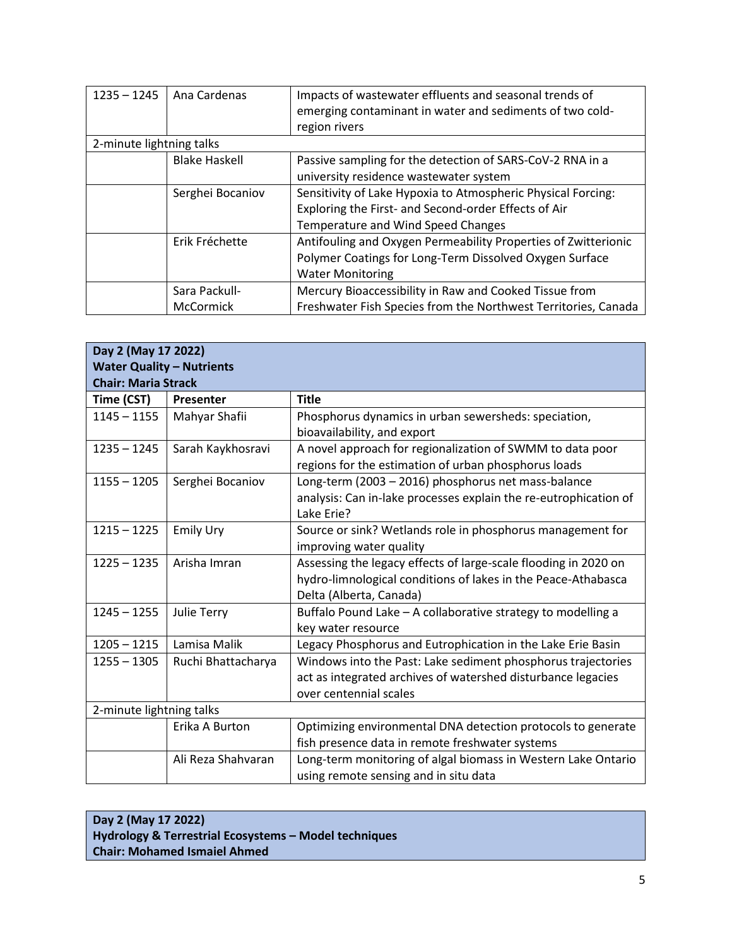| $1235 - 1245$            | Ana Cardenas         | Impacts of wastewater effluents and seasonal trends of         |
|--------------------------|----------------------|----------------------------------------------------------------|
|                          |                      | emerging contaminant in water and sediments of two cold-       |
|                          |                      | region rivers                                                  |
| 2-minute lightning talks |                      |                                                                |
|                          | <b>Blake Haskell</b> | Passive sampling for the detection of SARS-CoV-2 RNA in a      |
|                          |                      | university residence wastewater system                         |
|                          | Serghei Bocaniov     | Sensitivity of Lake Hypoxia to Atmospheric Physical Forcing:   |
|                          |                      | Exploring the First- and Second-order Effects of Air           |
|                          |                      | Temperature and Wind Speed Changes                             |
|                          | Erik Fréchette       | Antifouling and Oxygen Permeability Properties of Zwitterionic |
|                          |                      | Polymer Coatings for Long-Term Dissolved Oxygen Surface        |
|                          |                      | <b>Water Monitoring</b>                                        |
|                          | Sara Packull-        | Mercury Bioaccessibility in Raw and Cooked Tissue from         |
|                          | McCormick            | Freshwater Fish Species from the Northwest Territories, Canada |

| Day 2 (May 17 2022)              |                    |                                                                  |  |  |
|----------------------------------|--------------------|------------------------------------------------------------------|--|--|
| <b>Water Quality - Nutrients</b> |                    |                                                                  |  |  |
| <b>Chair: Maria Strack</b>       |                    |                                                                  |  |  |
| Time (CST)                       | Presenter          | <b>Title</b>                                                     |  |  |
| $1145 - 1155$                    | Mahyar Shafii      | Phosphorus dynamics in urban sewersheds: speciation,             |  |  |
|                                  |                    | bioavailability, and export                                      |  |  |
| $1235 - 1245$                    | Sarah Kaykhosravi  | A novel approach for regionalization of SWMM to data poor        |  |  |
|                                  |                    | regions for the estimation of urban phosphorus loads             |  |  |
| $1155 - 1205$                    | Serghei Bocaniov   | Long-term (2003 - 2016) phosphorus net mass-balance              |  |  |
|                                  |                    | analysis: Can in-lake processes explain the re-eutrophication of |  |  |
|                                  |                    | Lake Erie?                                                       |  |  |
| $1215 - 1225$                    | <b>Emily Ury</b>   | Source or sink? Wetlands role in phosphorus management for       |  |  |
|                                  |                    | improving water quality                                          |  |  |
| $1225 - 1235$                    | Arisha Imran       | Assessing the legacy effects of large-scale flooding in 2020 on  |  |  |
|                                  |                    | hydro-limnological conditions of lakes in the Peace-Athabasca    |  |  |
|                                  |                    | Delta (Alberta, Canada)                                          |  |  |
| $1245 - 1255$                    | Julie Terry        | Buffalo Pound Lake - A collaborative strategy to modelling a     |  |  |
|                                  |                    | key water resource                                               |  |  |
| $1205 - 1215$                    | Lamisa Malik       | Legacy Phosphorus and Eutrophication in the Lake Erie Basin      |  |  |
| $1255 - 1305$                    | Ruchi Bhattacharya | Windows into the Past: Lake sediment phosphorus trajectories     |  |  |
|                                  |                    | act as integrated archives of watershed disturbance legacies     |  |  |
|                                  |                    | over centennial scales                                           |  |  |
| 2-minute lightning talks         |                    |                                                                  |  |  |
|                                  | Erika A Burton     | Optimizing environmental DNA detection protocols to generate     |  |  |
|                                  |                    | fish presence data in remote freshwater systems                  |  |  |
|                                  | Ali Reza Shahvaran | Long-term monitoring of algal biomass in Western Lake Ontario    |  |  |
|                                  |                    | using remote sensing and in situ data                            |  |  |

## **Day 2 (May 17 2022) Hydrology & Terrestrial Ecosystems – Model techniques Chair: Mohamed Ismaiel Ahmed**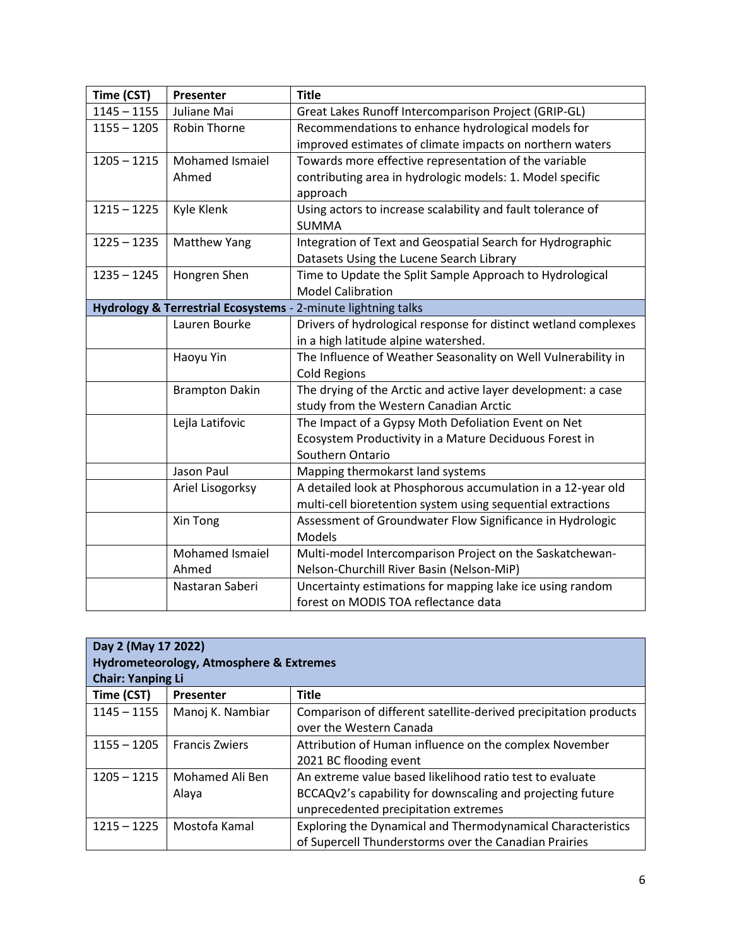| Time (CST)    | Presenter             | <b>Title</b>                                                    |
|---------------|-----------------------|-----------------------------------------------------------------|
| $1145 - 1155$ | Juliane Mai           | Great Lakes Runoff Intercomparison Project (GRIP-GL)            |
| $1155 - 1205$ | <b>Robin Thorne</b>   | Recommendations to enhance hydrological models for              |
|               |                       | improved estimates of climate impacts on northern waters        |
| $1205 - 1215$ | Mohamed Ismaiel       | Towards more effective representation of the variable           |
|               | Ahmed                 | contributing area in hydrologic models: 1. Model specific       |
|               |                       | approach                                                        |
| $1215 - 1225$ | Kyle Klenk            | Using actors to increase scalability and fault tolerance of     |
|               |                       | <b>SUMMA</b>                                                    |
| $1225 - 1235$ | Matthew Yang          | Integration of Text and Geospatial Search for Hydrographic      |
|               |                       | Datasets Using the Lucene Search Library                        |
| $1235 - 1245$ | Hongren Shen          | Time to Update the Split Sample Approach to Hydrological        |
|               |                       | <b>Model Calibration</b>                                        |
|               |                       | Hydrology & Terrestrial Ecosystems - 2-minute lightning talks   |
|               | Lauren Bourke         | Drivers of hydrological response for distinct wetland complexes |
|               |                       | in a high latitude alpine watershed.                            |
|               | Haoyu Yin             | The Influence of Weather Seasonality on Well Vulnerability in   |
|               |                       | <b>Cold Regions</b>                                             |
|               | <b>Brampton Dakin</b> | The drying of the Arctic and active layer development: a case   |
|               |                       | study from the Western Canadian Arctic                          |
|               | Lejla Latifovic       | The Impact of a Gypsy Moth Defoliation Event on Net             |
|               |                       | Ecosystem Productivity in a Mature Deciduous Forest in          |
|               |                       | Southern Ontario                                                |
|               | Jason Paul            | Mapping thermokarst land systems                                |
|               | Ariel Lisogorksy      | A detailed look at Phosphorous accumulation in a 12-year old    |
|               |                       | multi-cell bioretention system using sequential extractions     |
|               | Xin Tong              | Assessment of Groundwater Flow Significance in Hydrologic       |
|               |                       | Models                                                          |
|               | Mohamed Ismaiel       | Multi-model Intercomparison Project on the Saskatchewan-        |
|               | Ahmed                 | Nelson-Churchill River Basin (Nelson-MiP)                       |
|               | Nastaran Saberi       | Uncertainty estimations for mapping lake ice using random       |
|               |                       | forest on MODIS TOA reflectance data                            |

| Day 2 (May 17 2022)<br><b>Hydrometeorology, Atmosphere &amp; Extremes</b><br><b>Chair: Yanping Li</b> |                       |                                                                  |  |
|-------------------------------------------------------------------------------------------------------|-----------------------|------------------------------------------------------------------|--|
| Time (CST)                                                                                            | Presenter             | <b>Title</b>                                                     |  |
| $1145 - 1155$                                                                                         | Manoj K. Nambiar      | Comparison of different satellite-derived precipitation products |  |
|                                                                                                       |                       | over the Western Canada                                          |  |
| $1155 - 1205$                                                                                         | <b>Francis Zwiers</b> | Attribution of Human influence on the complex November           |  |
|                                                                                                       |                       | 2021 BC flooding event                                           |  |
| $1205 - 1215$                                                                                         | Mohamed Ali Ben       | An extreme value based likelihood ratio test to evaluate         |  |
|                                                                                                       | Alaya                 | BCCAQv2's capability for downscaling and projecting future       |  |
|                                                                                                       |                       | unprecedented precipitation extremes                             |  |
| $1215 - 1225$                                                                                         | Mostofa Kamal         | Exploring the Dynamical and Thermodynamical Characteristics      |  |
|                                                                                                       |                       | of Supercell Thunderstorms over the Canadian Prairies            |  |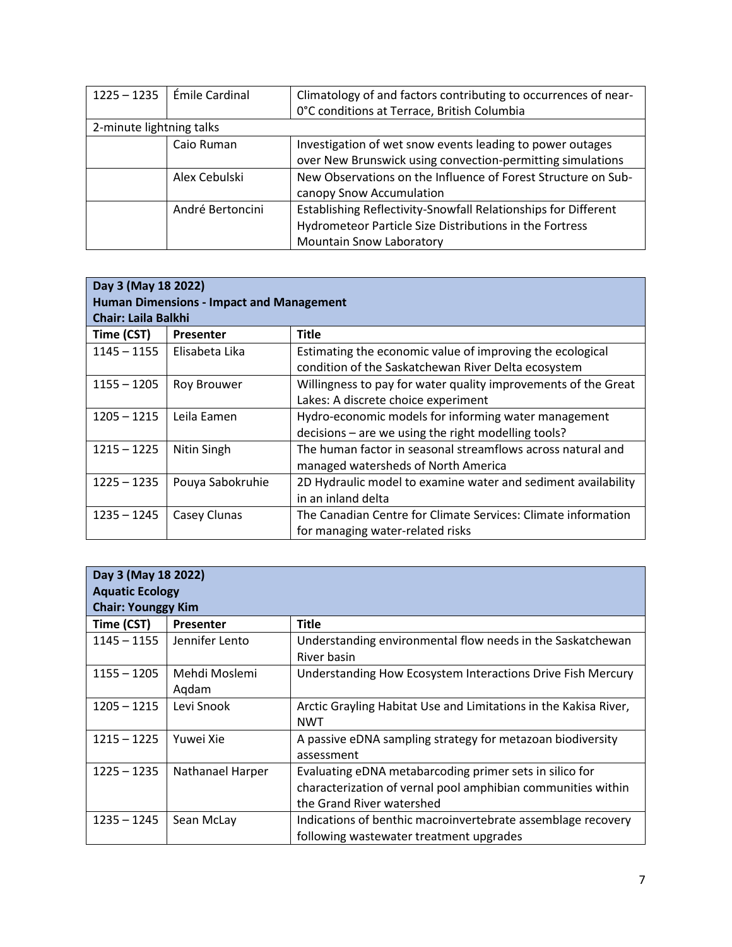| $1225 - 1235$            | l Émile Cardinal | Climatology of and factors contributing to occurrences of near- |
|--------------------------|------------------|-----------------------------------------------------------------|
|                          |                  | 0°C conditions at Terrace, British Columbia                     |
| 2-minute lightning talks |                  |                                                                 |
|                          | Caio Ruman       | Investigation of wet snow events leading to power outages       |
|                          |                  | over New Brunswick using convection-permitting simulations      |
|                          | Alex Cebulski    | New Observations on the Influence of Forest Structure on Sub-   |
|                          |                  | canopy Snow Accumulation                                        |
|                          | André Bertoncini | Establishing Reflectivity-Snowfall Relationships for Different  |
|                          |                  | Hydrometeor Particle Size Distributions in the Fortress         |
|                          |                  | <b>Mountain Snow Laboratory</b>                                 |

| Day 3 (May 18 2022)                             |                  |                                                                |  |
|-------------------------------------------------|------------------|----------------------------------------------------------------|--|
| <b>Human Dimensions - Impact and Management</b> |                  |                                                                |  |
| <b>Chair: Laila Balkhi</b>                      |                  |                                                                |  |
| Time (CST)                                      | <b>Presenter</b> | <b>Title</b>                                                   |  |
| $1145 - 1155$                                   | Elisabeta Lika   | Estimating the economic value of improving the ecological      |  |
|                                                 |                  | condition of the Saskatchewan River Delta ecosystem            |  |
| $1155 - 1205$                                   | Roy Brouwer      | Willingness to pay for water quality improvements of the Great |  |
|                                                 |                  | Lakes: A discrete choice experiment                            |  |
| $1205 - 1215$                                   | Leila Eamen      | Hydro-economic models for informing water management           |  |
|                                                 |                  | decisions – are we using the right modelling tools?            |  |
| $1215 - 1225$                                   | Nitin Singh      | The human factor in seasonal streamflows across natural and    |  |
|                                                 |                  | managed watersheds of North America                            |  |
| $1225 - 1235$                                   | Pouya Sabokruhie | 2D Hydraulic model to examine water and sediment availability  |  |
|                                                 |                  | in an inland delta                                             |  |
| $1235 - 1245$                                   | Casey Clunas     | The Canadian Centre for Climate Services: Climate information  |  |
|                                                 |                  | for managing water-related risks                               |  |

| Day 3 (May 18 2022)<br><b>Aquatic Ecology</b><br><b>Chair: Younggy Kim</b> |                        |                                                                                                                                                      |  |
|----------------------------------------------------------------------------|------------------------|------------------------------------------------------------------------------------------------------------------------------------------------------|--|
| Time (CST)                                                                 | Presenter              | <b>Title</b>                                                                                                                                         |  |
| $1145 - 1155$                                                              | Jennifer Lento         | Understanding environmental flow needs in the Saskatchewan<br>River basin                                                                            |  |
| $1155 - 1205$                                                              | Mehdi Moslemi<br>Aqdam | Understanding How Ecosystem Interactions Drive Fish Mercury                                                                                          |  |
| $1205 - 1215$                                                              | Levi Snook             | Arctic Grayling Habitat Use and Limitations in the Kakisa River,<br><b>NWT</b>                                                                       |  |
| $1215 - 1225$                                                              | Yuwei Xie              | A passive eDNA sampling strategy for metazoan biodiversity<br>assessment                                                                             |  |
| $1225 - 1235$                                                              | Nathanael Harper       | Evaluating eDNA metabarcoding primer sets in silico for<br>characterization of vernal pool amphibian communities within<br>the Grand River watershed |  |
| $1235 - 1245$                                                              | Sean McLay             | Indications of benthic macroinvertebrate assemblage recovery<br>following wastewater treatment upgrades                                              |  |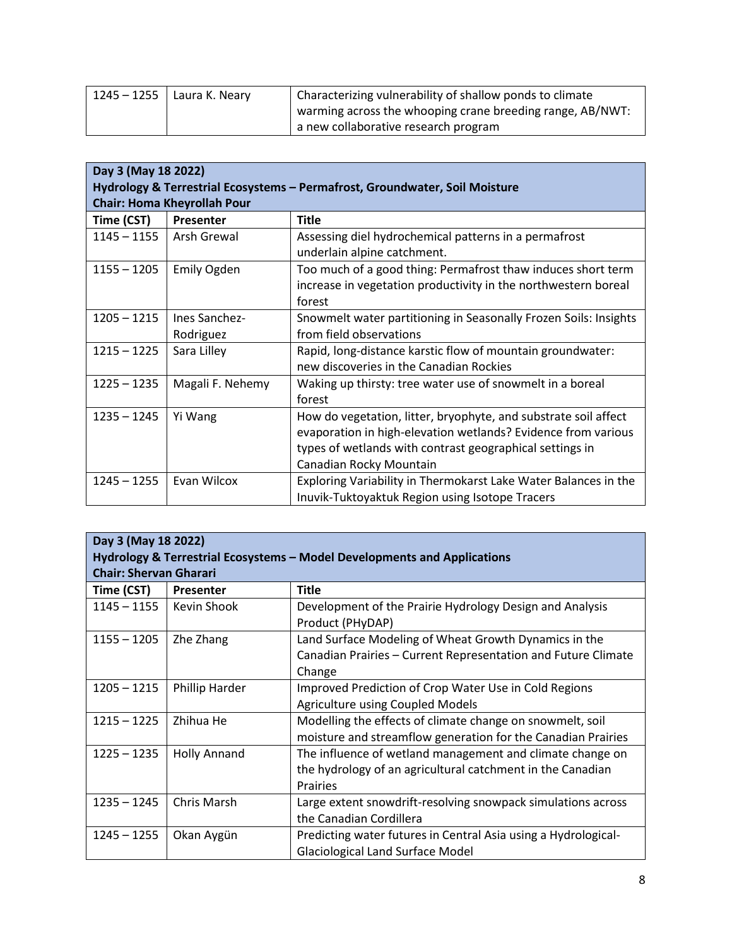| 1245 – 1255 | Laura K. Neary | Characterizing vulnerability of shallow ponds to climate  |
|-------------|----------------|-----------------------------------------------------------|
|             |                | warming across the whooping crane breeding range, AB/NWT: |
|             |                | a new collaborative research program                      |

| Day 3 (May 18 2022)                                                         |                    |                                                                  |
|-----------------------------------------------------------------------------|--------------------|------------------------------------------------------------------|
| Hydrology & Terrestrial Ecosystems - Permafrost, Groundwater, Soil Moisture |                    |                                                                  |
| <b>Chair: Homa Kheyrollah Pour</b>                                          |                    |                                                                  |
| Time (CST)                                                                  | Presenter          | <b>Title</b>                                                     |
| $1145 - 1155$                                                               | Arsh Grewal        | Assessing diel hydrochemical patterns in a permafrost            |
|                                                                             |                    | underlain alpine catchment.                                      |
| $1155 - 1205$                                                               | <b>Emily Ogden</b> | Too much of a good thing: Permafrost thaw induces short term     |
|                                                                             |                    | increase in vegetation productivity in the northwestern boreal   |
|                                                                             |                    | forest                                                           |
| $1205 - 1215$                                                               | Ines Sanchez-      | Snowmelt water partitioning in Seasonally Frozen Soils: Insights |
|                                                                             | Rodriguez          | from field observations                                          |
| $1215 - 1225$                                                               | Sara Lilley        | Rapid, long-distance karstic flow of mountain groundwater:       |
|                                                                             |                    | new discoveries in the Canadian Rockies                          |
| $1225 - 1235$                                                               | Magali F. Nehemy   | Waking up thirsty: tree water use of snowmelt in a boreal        |
|                                                                             |                    | forest                                                           |
| $1235 - 1245$                                                               | Yi Wang            | How do vegetation, litter, bryophyte, and substrate soil affect  |
|                                                                             |                    | evaporation in high-elevation wetlands? Evidence from various    |
|                                                                             |                    | types of wetlands with contrast geographical settings in         |
|                                                                             |                    | Canadian Rocky Mountain                                          |
| $1245 - 1255$                                                               | Evan Wilcox        | Exploring Variability in Thermokarst Lake Water Balances in the  |
|                                                                             |                    | Inuvik-Tuktoyaktuk Region using Isotope Tracers                  |

| Day 3 (May 18 2022)                                                      |                     |                                                                              |
|--------------------------------------------------------------------------|---------------------|------------------------------------------------------------------------------|
| Hydrology & Terrestrial Ecosystems – Model Developments and Applications |                     |                                                                              |
| <b>Chair: Shervan Gharari</b>                                            |                     |                                                                              |
| Time (CST)                                                               | Presenter           | <b>Title</b>                                                                 |
| $1145 - 1155$                                                            | Kevin Shook         | Development of the Prairie Hydrology Design and Analysis<br>Product (PHyDAP) |
| $1155 - 1205$                                                            | Zhe Zhang           | Land Surface Modeling of Wheat Growth Dynamics in the                        |
|                                                                          |                     | Canadian Prairies - Current Representation and Future Climate                |
|                                                                          |                     | Change                                                                       |
| $1205 - 1215$                                                            | Phillip Harder      | Improved Prediction of Crop Water Use in Cold Regions                        |
|                                                                          |                     | <b>Agriculture using Coupled Models</b>                                      |
| $1215 - 1225$                                                            | Zhihua He           | Modelling the effects of climate change on snowmelt, soil                    |
|                                                                          |                     | moisture and streamflow generation for the Canadian Prairies                 |
| $1225 - 1235$                                                            | <b>Holly Annand</b> | The influence of wetland management and climate change on                    |
|                                                                          |                     | the hydrology of an agricultural catchment in the Canadian                   |
|                                                                          |                     | <b>Prairies</b>                                                              |
| $1235 - 1245$                                                            | Chris Marsh         | Large extent snowdrift-resolving snowpack simulations across                 |
|                                                                          |                     | the Canadian Cordillera                                                      |
| $1245 - 1255$                                                            | Okan Aygün          | Predicting water futures in Central Asia using a Hydrological-               |
|                                                                          |                     | <b>Glaciological Land Surface Model</b>                                      |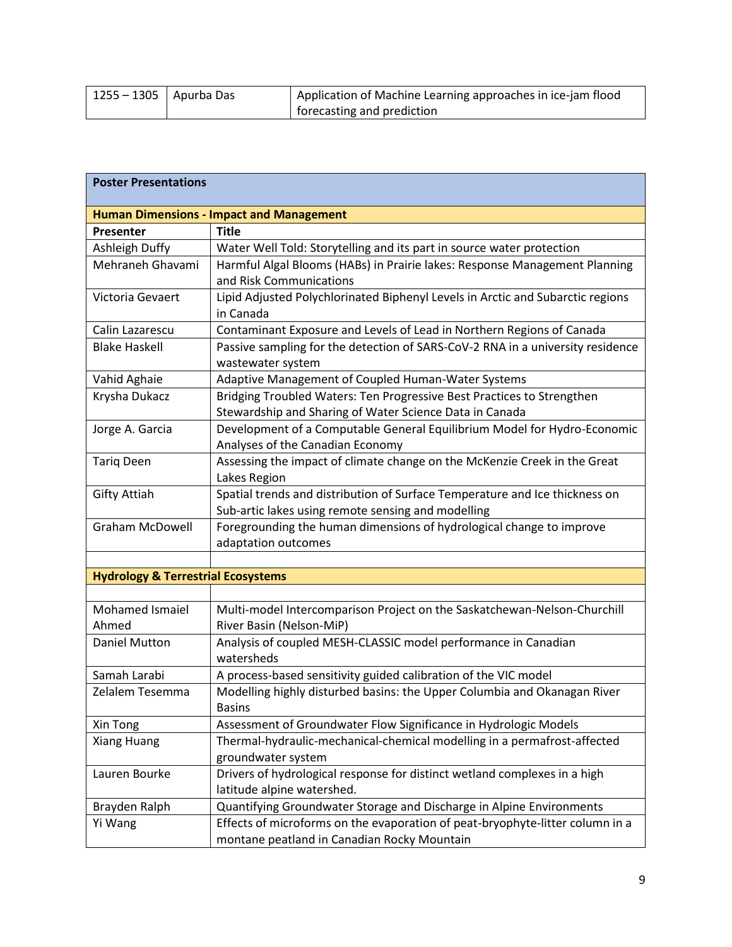| $1255 - 1305$   Apurba Das | Application of Machine Learning approaches in ice-jam flood |
|----------------------------|-------------------------------------------------------------|
|                            | forecasting and prediction                                  |

| <b>Poster Presentations</b>                   |                                                                                                                                   |
|-----------------------------------------------|-----------------------------------------------------------------------------------------------------------------------------------|
|                                               | <b>Human Dimensions - Impact and Management</b>                                                                                   |
| Presenter                                     | <b>Title</b>                                                                                                                      |
| Ashleigh Duffy                                | Water Well Told: Storytelling and its part in source water protection                                                             |
| Mehraneh Ghavami                              | Harmful Algal Blooms (HABs) in Prairie lakes: Response Management Planning<br>and Risk Communications                             |
| Victoria Gevaert                              | Lipid Adjusted Polychlorinated Biphenyl Levels in Arctic and Subarctic regions<br>in Canada                                       |
| Calin Lazarescu                               | Contaminant Exposure and Levels of Lead in Northern Regions of Canada                                                             |
| <b>Blake Haskell</b>                          | Passive sampling for the detection of SARS-CoV-2 RNA in a university residence<br>wastewater system                               |
| Vahid Aghaie                                  | Adaptive Management of Coupled Human-Water Systems                                                                                |
| Krysha Dukacz                                 | Bridging Troubled Waters: Ten Progressive Best Practices to Strengthen<br>Stewardship and Sharing of Water Science Data in Canada |
| Jorge A. Garcia                               | Development of a Computable General Equilibrium Model for Hydro-Economic<br>Analyses of the Canadian Economy                      |
| <b>Tariq Deen</b>                             | Assessing the impact of climate change on the McKenzie Creek in the Great<br>Lakes Region                                         |
| <b>Gifty Attiah</b>                           | Spatial trends and distribution of Surface Temperature and Ice thickness on<br>Sub-artic lakes using remote sensing and modelling |
| <b>Graham McDowell</b>                        | Foregrounding the human dimensions of hydrological change to improve<br>adaptation outcomes                                       |
|                                               |                                                                                                                                   |
| <b>Hydrology &amp; Terrestrial Ecosystems</b> |                                                                                                                                   |
|                                               |                                                                                                                                   |
| Mohamed Ismaiel<br>Ahmed                      | Multi-model Intercomparison Project on the Saskatchewan-Nelson-Churchill<br>River Basin (Nelson-MiP)                              |
| Daniel Mutton                                 | Analysis of coupled MESH-CLASSIC model performance in Canadian<br>watersheds                                                      |
| Samah Larabi                                  | A process-based sensitivity guided calibration of the VIC model                                                                   |
| Zelalem Tesemma                               | Modelling highly disturbed basins: the Upper Columbia and Okanagan River<br>Basins                                                |
| Xin Tong                                      | Assessment of Groundwater Flow Significance in Hydrologic Models                                                                  |
| Xiang Huang                                   | Thermal-hydraulic-mechanical-chemical modelling in a permafrost-affected<br>groundwater system                                    |
| Lauren Bourke                                 | Drivers of hydrological response for distinct wetland complexes in a high<br>latitude alpine watershed.                           |
| Brayden Ralph                                 | Quantifying Groundwater Storage and Discharge in Alpine Environments                                                              |
| Yi Wang                                       | Effects of microforms on the evaporation of peat-bryophyte-litter column in a<br>montane peatland in Canadian Rocky Mountain      |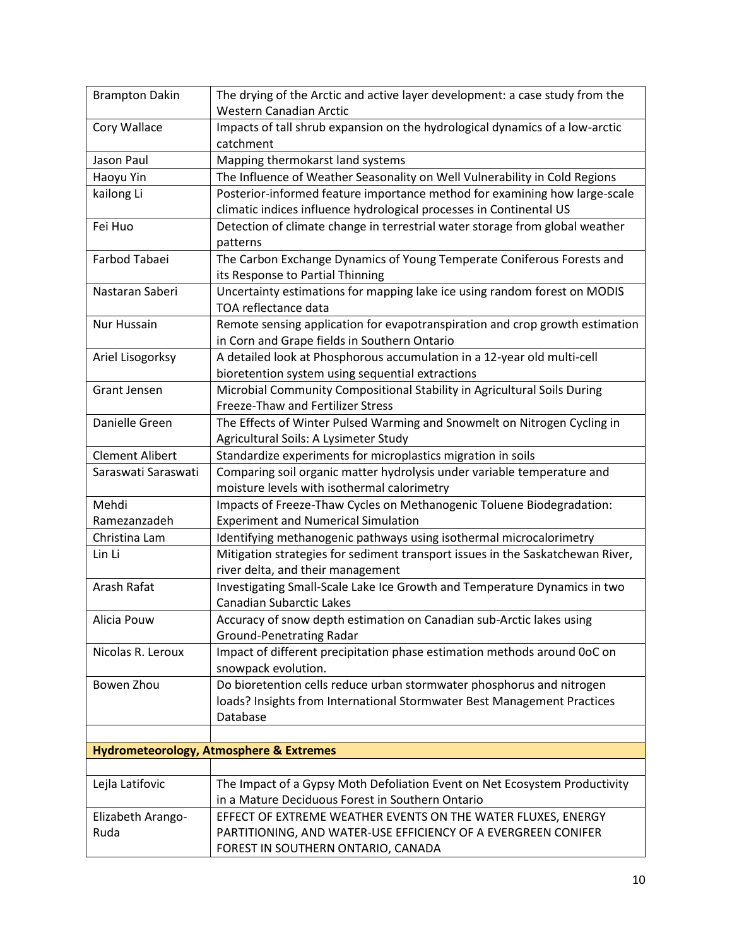| <b>Brampton Dakin</b>  | The drying of the Arctic and active layer development: a case study from the<br>Western Canadian Arctic |
|------------------------|---------------------------------------------------------------------------------------------------------|
| Cory Wallace           | Impacts of tall shrub expansion on the hydrological dynamics of a low-arctic                            |
|                        | catchment                                                                                               |
| Jason Paul             | Mapping thermokarst land systems                                                                        |
| Haoyu Yin              | The Influence of Weather Seasonality on Well Vulnerability in Cold Regions                              |
| kailong Li             | Posterior-informed feature importance method for examining how large-scale                              |
|                        | climatic indices influence hydrological processes in Continental US                                     |
| Fei Huo                | Detection of climate change in terrestrial water storage from global weather                            |
|                        | patterns                                                                                                |
| Farbod Tabaei          | The Carbon Exchange Dynamics of Young Temperate Coniferous Forests and                                  |
|                        | its Response to Partial Thinning                                                                        |
| Nastaran Saberi        | Uncertainty estimations for mapping lake ice using random forest on MODIS                               |
|                        | TOA reflectance data                                                                                    |
| Nur Hussain            | Remote sensing application for evapotranspiration and crop growth estimation                            |
|                        | in Corn and Grape fields in Southern Ontario                                                            |
| Ariel Lisogorksy       | A detailed look at Phosphorous accumulation in a 12-year old multi-cell                                 |
|                        | bioretention system using sequential extractions                                                        |
| <b>Grant Jensen</b>    | Microbial Community Compositional Stability in Agricultural Soils During                                |
|                        | Freeze-Thaw and Fertilizer Stress                                                                       |
| Danielle Green         | The Effects of Winter Pulsed Warming and Snowmelt on Nitrogen Cycling in                                |
|                        | Agricultural Soils: A Lysimeter Study                                                                   |
| <b>Clement Alibert</b> | Standardize experiments for microplastics migration in soils                                            |
| Saraswati Saraswati    | Comparing soil organic matter hydrolysis under variable temperature and                                 |
|                        | moisture levels with isothermal calorimetry                                                             |
| Mehdi                  | Impacts of Freeze-Thaw Cycles on Methanogenic Toluene Biodegradation:                                   |
| Ramezanzadeh           | <b>Experiment and Numerical Simulation</b>                                                              |
| Christina Lam          | Identifying methanogenic pathways using isothermal microcalorimetry                                     |
| Lin Li                 | Mitigation strategies for sediment transport issues in the Saskatchewan River,                          |
|                        | river delta, and their management                                                                       |
| Arash Rafat            | Investigating Small-Scale Lake Ice Growth and Temperature Dynamics in two                               |
|                        | <b>Canadian Subarctic Lakes</b>                                                                         |
| Alicia Pouw            | Accuracy of snow depth estimation on Canadian sub-Arctic lakes using                                    |
|                        | <b>Ground-Penetrating Radar</b>                                                                         |
| Nicolas R. Leroux      | Impact of different precipitation phase estimation methods around 0oC on                                |
|                        | snowpack evolution.                                                                                     |
| Bowen Zhou             | Do bioretention cells reduce urban stormwater phosphorus and nitrogen                                   |
|                        | loads? Insights from International Stormwater Best Management Practices                                 |
|                        | Database                                                                                                |
|                        |                                                                                                         |
|                        | <b>Hydrometeorology, Atmosphere &amp; Extremes</b>                                                      |
|                        |                                                                                                         |
| Lejla Latifovic        | The Impact of a Gypsy Moth Defoliation Event on Net Ecosystem Productivity                              |
|                        | in a Mature Deciduous Forest in Southern Ontario                                                        |
| Elizabeth Arango-      | EFFECT OF EXTREME WEATHER EVENTS ON THE WATER FLUXES, ENERGY                                            |
| Ruda                   | PARTITIONING, AND WATER-USE EFFICIENCY OF A EVERGREEN CONIFER                                           |
|                        | FOREST IN SOUTHERN ONTARIO, CANADA                                                                      |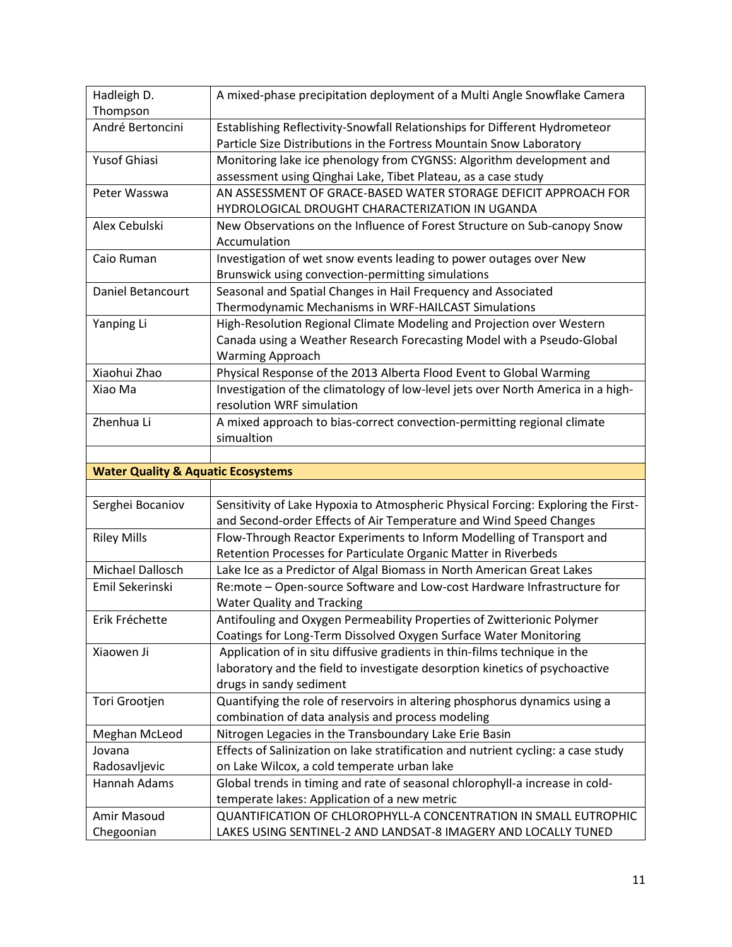| Hadleigh D.                                   | A mixed-phase precipitation deployment of a Multi Angle Snowflake Camera          |
|-----------------------------------------------|-----------------------------------------------------------------------------------|
| Thompson                                      |                                                                                   |
| André Bertoncini                              | Establishing Reflectivity-Snowfall Relationships for Different Hydrometeor        |
|                                               | Particle Size Distributions in the Fortress Mountain Snow Laboratory              |
| <b>Yusof Ghiasi</b>                           | Monitoring lake ice phenology from CYGNSS: Algorithm development and              |
|                                               | assessment using Qinghai Lake, Tibet Plateau, as a case study                     |
|                                               | AN ASSESSMENT OF GRACE-BASED WATER STORAGE DEFICIT APPROACH FOR                   |
| Peter Wasswa                                  | HYDROLOGICAL DROUGHT CHARACTERIZATION IN UGANDA                                   |
| Alex Cebulski                                 | New Observations on the Influence of Forest Structure on Sub-canopy Snow          |
|                                               | Accumulation                                                                      |
| Caio Ruman                                    | Investigation of wet snow events leading to power outages over New                |
|                                               | Brunswick using convection-permitting simulations                                 |
| Daniel Betancourt                             | Seasonal and Spatial Changes in Hail Frequency and Associated                     |
|                                               | Thermodynamic Mechanisms in WRF-HAILCAST Simulations                              |
| Yanping Li                                    | High-Resolution Regional Climate Modeling and Projection over Western             |
|                                               | Canada using a Weather Research Forecasting Model with a Pseudo-Global            |
|                                               | <b>Warming Approach</b>                                                           |
| Xiaohui Zhao                                  | Physical Response of the 2013 Alberta Flood Event to Global Warming               |
| Xiao Ma                                       | Investigation of the climatology of low-level jets over North America in a high-  |
|                                               | resolution WRF simulation                                                         |
| Zhenhua Li                                    | A mixed approach to bias-correct convection-permitting regional climate           |
|                                               | simualtion                                                                        |
|                                               |                                                                                   |
|                                               |                                                                                   |
| <b>Water Quality &amp; Aquatic Ecosystems</b> |                                                                                   |
|                                               |                                                                                   |
| Serghei Bocaniov                              | Sensitivity of Lake Hypoxia to Atmospheric Physical Forcing: Exploring the First- |
|                                               | and Second-order Effects of Air Temperature and Wind Speed Changes                |
| <b>Riley Mills</b>                            | Flow-Through Reactor Experiments to Inform Modelling of Transport and             |
|                                               | Retention Processes for Particulate Organic Matter in Riverbeds                   |
| Michael Dallosch                              | Lake Ice as a Predictor of Algal Biomass in North American Great Lakes            |
| Emil Sekerinski                               | Re:mote - Open-source Software and Low-cost Hardware Infrastructure for           |
|                                               | <b>Water Quality and Tracking</b>                                                 |
| Erik Fréchette                                | Antifouling and Oxygen Permeability Properties of Zwitterionic Polymer            |
|                                               | Coatings for Long-Term Dissolved Oxygen Surface Water Monitoring                  |
| Xiaowen Ji                                    | Application of in situ diffusive gradients in thin-films technique in the         |
|                                               | laboratory and the field to investigate desorption kinetics of psychoactive       |
|                                               | drugs in sandy sediment                                                           |
| Tori Grootjen                                 | Quantifying the role of reservoirs in altering phosphorus dynamics using a        |
|                                               | combination of data analysis and process modeling                                 |
| Meghan McLeod                                 | Nitrogen Legacies in the Transboundary Lake Erie Basin                            |
| Jovana                                        | Effects of Salinization on lake stratification and nutrient cycling: a case study |
| Radosavljevic                                 | on Lake Wilcox, a cold temperate urban lake                                       |
| Hannah Adams                                  | Global trends in timing and rate of seasonal chlorophyll-a increase in cold-      |
|                                               | temperate lakes: Application of a new metric                                      |
| Amir Masoud                                   | QUANTIFICATION OF CHLOROPHYLL-A CONCENTRATION IN SMALL EUTROPHIC                  |